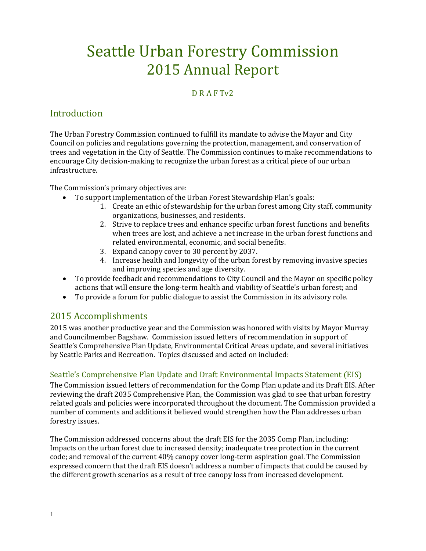# Seattle Urban Forestry Commission 2015 Annual Report

# D R A F Tv2

# Introduction

The Urban Forestry Commission continued to fulfill its mandate to advise the Mayor and City Council on policies and regulations governing the protection, management, and conservation of trees and vegetation in the City of Seattle. The Commission continues to make recommendations to encourage City decision-making to recognize the urban forest as a critical piece of our urban infrastructure.

The Commission's primary objectives are:

- To support implementation of the Urban Forest Stewardship Plan's goals:
	- 1. Create an ethic of stewardship for the urban forest among City staff, community organizations, businesses, and residents.
	- 2. Strive to replace trees and enhance specific urban forest functions and benefits when trees are lost, and achieve a net increase in the urban forest functions and related environmental, economic, and social benefits.
	- 3. Expand canopy cover to 30 percent by 2037.
	- 4. Increase health and longevity of the urban forest by removing invasive species and improving species and age diversity.
- To provide feedback and recommendations to City Council and the Mayor on specific policy actions that will ensure the long-term health and viability of Seattle's urban forest; and
- To provide a forum for public dialogue to assist the Commission in its advisory role.

# 2015 Accomplishments

2015 was another productive year and the Commission was honored with visits by Mayor Murray and Councilmember Bagshaw. Commission issued letters of recommendation in support of Seattle's Comprehensive Plan Update, Environmental Critical Areas update, and several initiatives by Seattle Parks and Recreation. Topics discussed and acted on included:

# Seattle's Comprehensive Plan Update and Draft Environmental Impacts Statement (EIS)

The Commission issued letters of recommendation for the Comp Plan update and its Draft EIS. After reviewing the draft 2035 Comprehensive Plan, the Commission was glad to see that urban forestry related goals and policies were incorporated throughout the document. The Commission provided a number of comments and additions it believed would strengthen how the Plan addresses urban forestry issues.

The Commission addressed concerns about the draft EIS for the 2035 Comp Plan, including: Impacts on the urban forest due to increased density; inadequate tree protection in the current code; and removal of the current 40% canopy cover long-term aspiration goal. The Commission expressed concern that the draft EIS doesn't address a number of impacts that could be caused by the different growth scenarios as a result of tree canopy loss from increased development.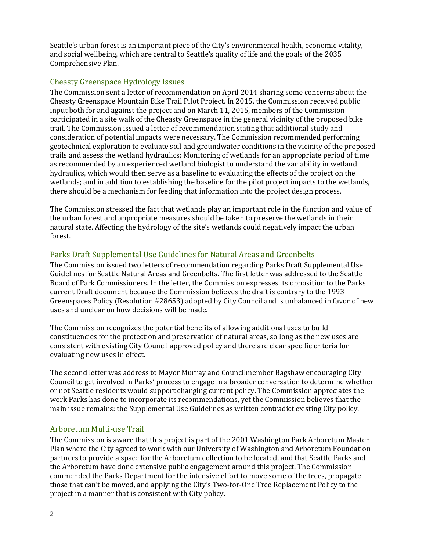Seattle's urban forest is an important piece of the City's environmental health, economic vitality, and social wellbeing, which are central to Seattle's quality of life and the goals of the 2035 Comprehensive Plan.

#### Cheasty Greenspace Hydrology Issues

The Commission sent a letter of recommendation on April 2014 sharing some concerns about the Cheasty Greenspace Mountain Bike Trail Pilot Project. In 2015, the Commission received public input both for and against the project and on March 11, 2015, members of the Commission participated in a site walk of the Cheasty Greenspace in the general vicinity of the proposed bike trail. The Commission issued a letter of recommendation stating that additional study and consideration of potential impacts were necessary. The Commission recommended performing geotechnical exploration to evaluate soil and groundwater conditions in the vicinity of the proposed trails and assess the wetland hydraulics; Monitoring of wetlands for an appropriate period of time as recommended by an experienced wetland biologist to understand the variability in wetland hydraulics, which would then serve as a baseline to evaluating the effects of the project on the wetlands; and in addition to establishing the baseline for the pilot project impacts to the wetlands, there should be a mechanism for feeding that information into the project design process.

The Commission stressed the fact that wetlands play an important role in the function and value of the urban forest and appropriate measures should be taken to preserve the wetlands in their natural state. Affecting the hydrology of the site's wetlands could negatively impact the urban forest.

### Parks Draft Supplemental Use Guidelines for Natural Areas and Greenbelts

The Commission issued two letters of recommendation regarding Parks Draft Supplemental Use Guidelines for Seattle Natural Areas and Greenbelts. The first letter was addressed to the Seattle Board of Park Commissioners. In the letter, the Commission expresses its opposition to the Parks current Draft document because the Commission believes the draft is contrary to the 1993 Greenspaces Policy (Resolution #28653) adopted by City Council and is unbalanced in favor of new uses and unclear on how decisions will be made.

The Commission recognizes the potential benefits of allowing additional uses to build constituencies for the protection and preservation of natural areas, so long as the new uses are consistent with existing City Council approved policy and there are clear specific criteria for evaluating new uses in effect.

The second letter was address to Mayor Murray and Councilmember Bagshaw encouraging City Council to get involved in Parks' process to engage in a broader conversation to determine whether or not Seattle residents would support changing current policy. The Commission appreciates the work Parks has done to incorporate its recommendations, yet the Commission believes that the main issue remains: the Supplemental Use Guidelines as written contradict existing City policy.

#### Arboretum Multi-use Trail

The Commission is aware that this project is part of the 2001 Washington Park Arboretum Master Plan where the City agreed to work with our University of Washington and Arboretum Foundation partners to provide a space for the Arboretum collection to be located, and that Seattle Parks and the Arboretum have done extensive public engagement around this project. The Commission commended the Parks Department for the intensive effort to move some of the trees, propagate those that can't be moved, and applying the City's Two-for-One Tree Replacement Policy to the project in a manner that is consistent with City policy.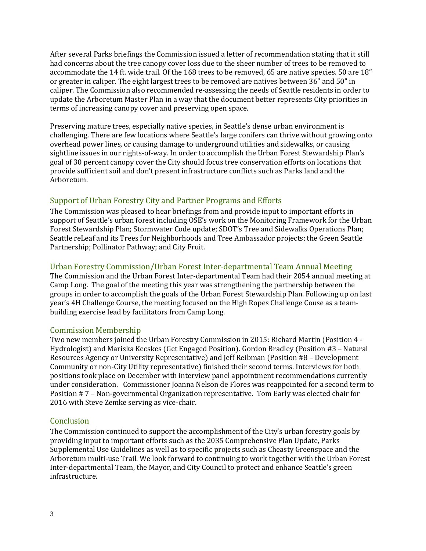After several Parks briefings the Commission issued a letter of recommendation stating that it still had concerns about the tree canopy cover loss due to the sheer number of trees to be removed to accommodate the 14 ft. wide trail. Of the 168 trees to be removed, 65 are native species. 50 are 18" or greater in caliper. The eight largest trees to be removed are natives between 36" and 50" in caliper. The Commission also recommended re-assessing the needs of Seattle residents in order to update the Arboretum Master Plan in a way that the document better represents City priorities in terms of increasing canopy cover and preserving open space.

Preserving mature trees, especially native species, in Seattle's dense urban environment is challenging. There are few locations where Seattle's large conifers can thrive without growing onto overhead power lines, or causing damage to underground utilities and sidewalks, or causing sightline issues in our rights-of-way. In order to accomplish the Urban Forest Stewardship Plan's goal of 30 percent canopy cover the City should focus tree conservation efforts on locations that provide sufficient soil and don't present infrastructure conflicts such as Parks land and the Arboretum.

## Support of Urban Forestry City and Partner Programs and Efforts

The Commission was pleased to hear briefings from and provide input to important efforts in support of Seattle's urban forest including OSE's work on the Monitoring Framework for the Urban Forest Stewardship Plan; Stormwater Code update; SDOT's Tree and Sidewalks Operations Plan; Seattle reLeaf and its Trees for Neighborhoods and Tree Ambassador projects; the Green Seattle Partnership; Pollinator Pathway; and City Fruit.

#### Urban Forestry Commission/Urban Forest Inter-departmental Team Annual Meeting

The Commission and the Urban Forest Inter-departmental Team had their 2054 annual meeting at Camp Long. The goal of the meeting this year was strengthening the partnership between the groups in order to accomplish the goals of the Urban Forest Stewardship Plan. Following up on last year's 4H Challenge Course, the meeting focused on the High Ropes Challenge Couse as a teambuilding exercise lead by facilitators from Camp Long.

#### Commission Membership

Two new members joined the Urban Forestry Commission in 2015: Richard Martin (Position 4 - Hydrologist) and Mariska Kecskes (Get Engaged Position). Gordon Bradley (Position #3 – Natural Resources Agency or University Representative) and Jeff Reibman (Position #8 – Development Community or non-City Utility representative) finished their second terms. Interviews for both positions took place on December with interview panel appointment recommendations currently under consideration. Commissioner Joanna Nelson de Flores was reappointed for a second term to Position # 7 – Non-governmental Organization representative. Tom Early was elected chair for 2016 with Steve Zemke serving as vice-chair.

#### **Conclusion**

The Commission continued to support the accomplishment of the City's urban forestry goals by providing input to important efforts such as the 2035 Comprehensive Plan Update, Parks Supplemental Use Guidelines as well as to specific projects such as Cheasty Greenspace and the Arboretum multi-use Trail. We look forward to continuing to work together with the Urban Forest Inter-departmental Team, the Mayor, and City Council to protect and enhance Seattle's green infrastructure.